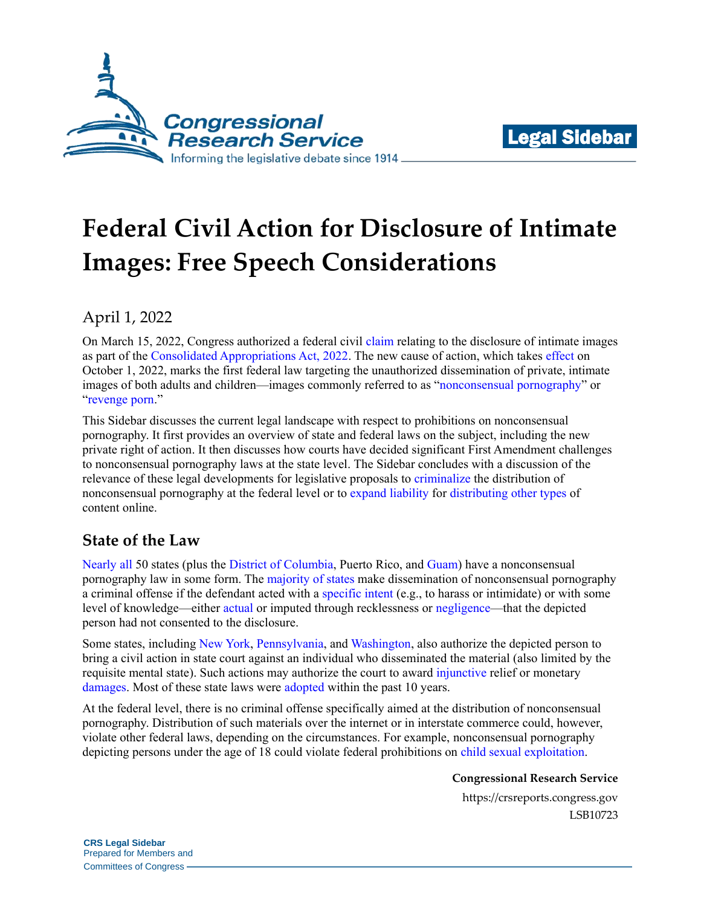



# **Federal Civil Action for Disclosure of Intimate Images: Free Speech Considerations**

# April 1, 2022

On March 15, 2022, Congress authorized a federal civil [claim](https://www.congress.gov/117/bills/hr2471/BILLS-117hr2471enr.pdf#page=881) relating to the disclosure of intimate images as part of the [Consolidated Appropriations Act, 2022.](https://www.congress.gov/bill/117th-congress/house-bill/2471/text) The new cause of action, which takes [effect](https://www.congress.gov/117/bills/hr2471/BILLS-117hr2471enr.pdf#page=798) on October 1, 2022, marks the first federal law targeting the unauthorized dissemination of private, intimate images of both adults and children—images commonly referred to as ["nonconsensual pornography"](https://scholarsbank.uoregon.edu/xmlui/bitstream/handle/1794/25136/OLR98%281%29_Magaldi.pdf?sequence=1&isAllowed=y) or ["revenge porn.](http://www.floridalawreview.com/wp-content/uploads/3-Franks.pdf)"

This Sidebar discusses the current legal landscape with respect to prohibitions on nonconsensual pornography. It first provides an overview of state and federal laws on the subject, including the new private right of action. It then discusses how courts have decided significant First Amendment challenges to nonconsensual pornography laws at the state level. The Sidebar concludes with a discussion of the relevance of these legal developments for legislative proposals to [criminalize](https://www.congress.gov/bill/117th-congress/house-bill/6998/text) the distribution of nonconsensual pornography at the federal level or to [expand](https://www.congress.gov/bill/117th-congress/senate-bill/797/text) [liability](https://www.congress.gov/bill/117th-congress/house-bill/285/text) for [distributing](https://www.congress.gov/bill/117th-congress/senate-bill/2448/text) [other types](https://www.congress.gov/bill/117th-congress/house-bill/2395/text) of content online.

# **State of the Law**

[Nearly](https://cybercivilrights.org/nonconsensual-pornagraphy-laws/) [all](https://cybercivilrights.org/nonconsensual-pornagraphy-laws/) 50 states (plus the [District of Columbia,](https://code.dccouncil.us/us/dc/council/code/titles/22/chapters/30A) Puerto Rico, and [Guam\)](https://statecodesfiles.justia.com/guam/2020/title-9/chapter-28/chapter-28.pdf?ts=1622480209#page=16) have a nonconsensual pornography law in some form. The [majority of states](https://epic.org/state-revenge-porn-policy/) make dissemination of nonconsensual pornography a criminal offense if the defendant acted with a [specific intent](http://alisondb.legislature.state.al.us/alison/CodeOfAlabama/1975/13A-6-240.htm) (e.g., to harass or intimidate) or with some level of knowledge—either [actual](https://www.legis.iowa.gov/docs/code/2022/708.7.pdf) or imputed through recklessness or [negligence—](https://app.leg.wa.gov/RCW/default.aspx?cite=9A.86.010)that the depicted person had not consented to the disclosure.

Some states, including [New York,](https://www.nysenate.gov/legislation/laws/CVR/52-B) [Pennsylvania,](https://www.legis.state.pa.us/CFDOCS/LEGIS/LI/consCheck.cfm?txtType=HTM&ttl=42&div=00.&chpt=083.&sctn=016.&subSctn=001.) an[d Washington,](https://app.leg.wa.gov/rcw/default.aspx?cite=4.24.795#:~:text=RCW%204.24.,penalties%E2%80%94Confidentiality%20of%20the%20plaintiff.) also authorize the depicted person to bring a civil action in state court against an individual who disseminated the material (also limited by the requisite mental state). Such actions may authorize the court to award [injunctive](https://www.nysenate.gov/legislation/laws/CVR/52-B) relief or monetary [damages.](https://www.legis.state.pa.us/CFDOCS/LEGIS/LI/consCheck.cfm?txtType=HTM&ttl=42&div=00.&chpt=083.&sctn=016.&subSctn=001.) Most of these state laws were [adopted](https://www.ncsl.org/Portals/1/Documents/legisbriefs/2019/AugustLBs/Revenge-Porn-and-Sextortion_29.pdf) within the past 10 years.

At the federal level, there is no criminal offense specifically aimed at the distribution of nonconsensual pornography. Distribution of such materials over the internet or in interstate commerce could, however, violate other federal laws, depending on the circumstances. For example, nonconsensual pornography depicting persons under the age of 18 could violate federal prohibitions on [child sexual exploitation.](https://uscode.house.gov/view.xhtml?req=granuleid:USC-prelim-title18-section2252A&num=0&edition=prelim)

**Congressional Research Service**

https://crsreports.congress.gov LSB10723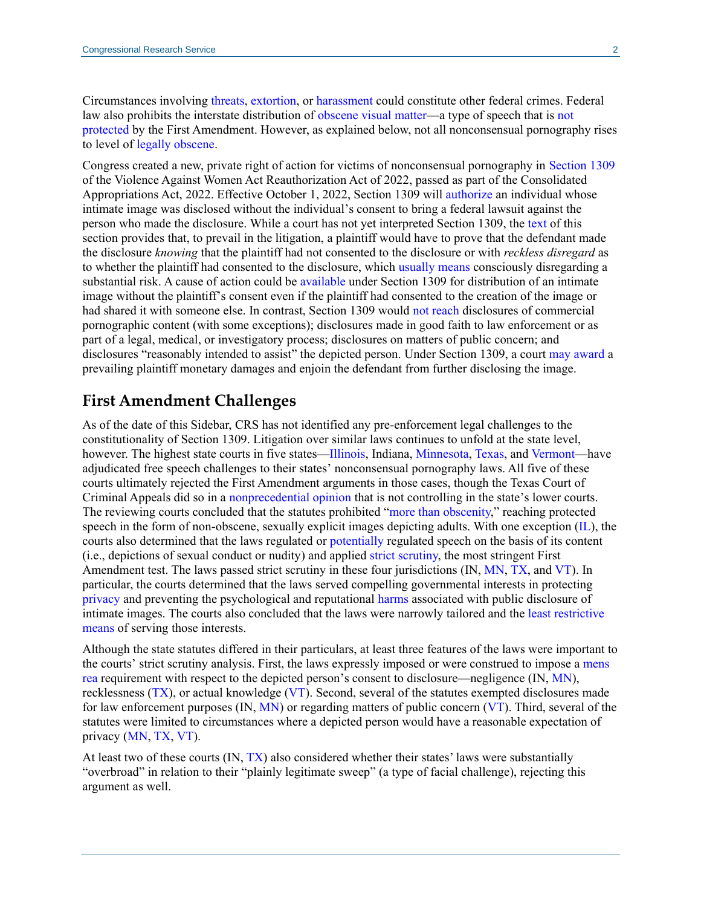Circumstances involving [threats,](https://uscode.house.gov/view.xhtml?req=granuleid:USC-prelim-title18-section2261A&num=0&edition=prelim) [extortion,](https://uscode.house.gov/view.xhtml?req=granuleid:USC-prelim-title18-section875&num=0&edition=prelim) or [harassment](https://uscode.house.gov/view.xhtml?req=granuleid:USC-prelim-title18-section2261A&num=0&edition=prelim) could constitute other federal crimes. Federal law also prohibits the interstate distribution of [obscene visual matter—](https://uscode.house.gov/view.xhtml?path=/prelim@title18/part1/chapter71&edition=prelim)a type of speech that is [not](https://crsreports.congress.gov/product/pdf/IF/IF11072)  [protected](https://crsreports.congress.gov/product/pdf/IF/IF11072) by the First Amendment. However, as explained below, not all nonconsensual pornography rises to level of [legally obscene.](https://tile.loc.gov/storage-services/service/ll/usrep/usrep413/usrep413015/usrep413015.pdf#page=10)

Congress created a new, private right of action for victims of nonconsensual pornography in [Section 1309](https://www.congress.gov/117/bills/hr2471/BILLS-117hr2471enr.pdf#page=881) of the Violence Against Women Act Reauthorization Act of 2022, passed as part of the Consolidated Appropriations Act, 2022. Effective October 1, 2022, Section 1309 will [authorize](https://www.congress.gov/117/bills/hr2471/BILLS-117hr2471enr.pdf#page=882) an individual whose intimate image was disclosed without the individual's consent to bring a federal lawsuit against the person who made the disclosure. While a court has not yet interpreted Section 1309, the [text](https://www.congress.gov/117/bills/hr2471/BILLS-117hr2471enr.pdf#page=882) of this section provides that, to prevail in the litigation, a plaintiff would have to prove that the defendant made the disclosure *knowing* that the plaintiff had not consented to the disclosure or with *reckless disregard* as to whether the plaintiff had consented to the disclosure, which [usually means](https://www.supremecourt.gov/opinions/20pdf/19-5410_8nj9.pdf#page=8) consciously disregarding a substantial risk. A cause of action could be [available](https://www.congress.gov/117/bills/hr2471/BILLS-117hr2471enr.pdf#page=882) under Section 1309 for distribution of an intimate image without the plaintiff's consent even if the plaintiff had consented to the creation of the image or had shared it with someone else. In contrast, Section 1309 would [not reach](https://www.congress.gov/117/bills/hr2471/BILLS-117hr2471enr.pdf#page=883) disclosures of commercial pornographic content (with some exceptions); disclosures made in good faith to law enforcement or as part of a legal, medical, or investigatory process; disclosures on matters of public concern; and disclosures "reasonably intended to assist" the depicted person. Under Section 1309, a court [may award](https://www.congress.gov/117/bills/hr2471/BILLS-117hr2471enr.pdf#page=882) a prevailing plaintiff monetary damages and enjoin the defendant from further disclosing the image.

#### **First Amendment Challenges**

As of the date of this Sidebar, CRS has not identified any pre-enforcement legal challenges to the constitutionality of Section 1309. Litigation over similar laws continues to unfold at the state level, however. The highest state courts in five states[—Illinois,](https://ilcourtsaudio.blob.core.windows.net/antilles-resources/resources/208b8617-e301-4746-8455-984977fd04f5/People%20v.%20Austin,%202019%20IL%20123910.pdf) Indiana, [Minnesota,](https://mn.gov/law-library-stat/archive/supct/2020/OPA190576-123020.pdf) [Texas,](https://search.txcourts.gov/SearchMedia.aspx?MediaVersionID=9e7f501c-76b1-470d-abc4-b5d6d51c22ea&coa=coscca&DT=OPINION&MediaID=cc3f7852-56ae-4b7d-beb9-2768eda89622) and [Vermont—](https://www.vermontjudiciary.org/sites/default/files/documents/op16-253_1.pdf)have adjudicated free speech challenges to their states' nonconsensual pornography laws. All five of these courts ultimately rejected the First Amendment arguments in those cases, though the Texas Court of Criminal Appeals did so in a [nonprecedential opinion](https://www.txcourts.gov/media/1453411/texas-rules-of-appellate-procedure.pdf#page=105) that is not controlling in the state's lower courts. The reviewing courts concluded that the statutes prohibited ["more than obscenity,](https://mn.gov/law-library-stat/archive/supct/2020/OPA190576-123020.pdf#page=2)" reaching protected speech in the form of non-obscene, sexually explicit images depicting adults. With one exception [\(IL\)](https://ilcourtsaudio.blob.core.windows.net/antilles-resources/resources/208b8617-e301-4746-8455-984977fd04f5/People%20v.%20Austin,%202019%20IL%20123910.pdf#page=9), the courts also determined that the laws regulated or [potentially](https://mn.gov/law-library-stat/archive/supct/2020/OPA190576-123020.pdf#page=15) regulated speech on the basis of its content (i.e., depictions of sexual conduct or nudity) and applied [strict](https://search.txcourts.gov/SearchMedia.aspx?MediaVersionID=9e7f501c-76b1-470d-abc4-b5d6d51c22ea&coa=coscca&DT=OPINION&MediaID=cc3f7852-56ae-4b7d-beb9-2768eda89622#page=11) [scrutiny,](https://www.vermontjudiciary.org/sites/default/files/documents/op16-253_1.pdf#page=10) the most stringent First Amendment test. The laws passed strict scrutiny in these four jurisdictions (IN, [MN,](https://mn.gov/law-library-stat/archive/supct/2020/OPA190576-123020.pdf#page=22) [TX,](https://search.txcourts.gov/SearchMedia.aspx?MediaVersionID=9e7f501c-76b1-470d-abc4-b5d6d51c22ea&coa=coscca&DT=OPINION&MediaID=cc3f7852-56ae-4b7d-beb9-2768eda89622#page=37) an[d VT\)](https://www.vermontjudiciary.org/sites/default/files/documents/op16-253_1.pdf#page=31). In particular, the courts determined that the laws served compelling governmental interests in protecting [privacy](https://www.vermontjudiciary.org/sites/default/files/documents/op16-253_1.pdf#page=26) and preventing the psychological and reputational [harms](https://mn.gov/law-library-stat/archive/supct/2020/OPA190576-123020.pdf#page=16) associated with public disclosure of intimate images. The courts also concluded that the laws were narrowly tailored and the least [restrictive](https://mn.gov/law-library-stat/archive/supct/2020/OPA190576-123020.pdf#page=19)  [means](https://mn.gov/law-library-stat/archive/supct/2020/OPA190576-123020.pdf#page=19) of serving those interests.

Although the state statutes differed in their particulars, at least three features of the laws were important to the courts' strict scrutiny analysis. First, the laws expressly imposed or were construed to impose a [mens](https://crsreports.congress.gov/product/pdf/R/R46836)  [rea](https://crsreports.congress.gov/product/pdf/R/R46836) requirement with respect to the depicted person's consent to disclosure—negligence (IN, [MN\)](https://mn.gov/law-library-stat/archive/supct/2020/OPA190576-123020.pdf#page=20), recklessness [\(TX\)](https://search.txcourts.gov/SearchMedia.aspx?MediaVersionID=9e7f501c-76b1-470d-abc4-b5d6d51c22ea&coa=coscca&DT=OPINION&MediaID=cc3f7852-56ae-4b7d-beb9-2768eda89622#page=25), or actual knowledge [\(VT\)](https://www.vermontjudiciary.org/sites/default/files/documents/op16-253_1.pdf#page=28). Second, several of the statutes exempted disclosures made for law enforcement purposes  $(IN, MN)$  $(IN, MN)$  or regarding matters of public concern  $(VT)$ . Third, several of the statutes were limited to circumstances where a depicted person would have a reasonable expectation of privacy [\(MN,](https://mn.gov/law-library-stat/archive/supct/2020/OPA190576-123020.pdf#page=19) [TX,](https://search.txcourts.gov/SearchMedia.aspx?MediaVersionID=9e7f501c-76b1-470d-abc4-b5d6d51c22ea&coa=coscca&DT=OPINION&MediaID=cc3f7852-56ae-4b7d-beb9-2768eda89622#page=32) [VT\)](https://www.vermontjudiciary.org/sites/default/files/documents/op16-253_1.pdf#page=29).

At least two of these courts (IN, [TX\)](https://search.txcourts.gov/SearchMedia.aspx?MediaVersionID=9e7f501c-76b1-470d-abc4-b5d6d51c22ea&coa=coscca&DT=OPINION&MediaID=cc3f7852-56ae-4b7d-beb9-2768eda89622#page=37) also considered whether their states' laws were substantially "overbroad" in relation to their "plainly legitimate sweep" (a type of facial challenge), rejecting this argument as well.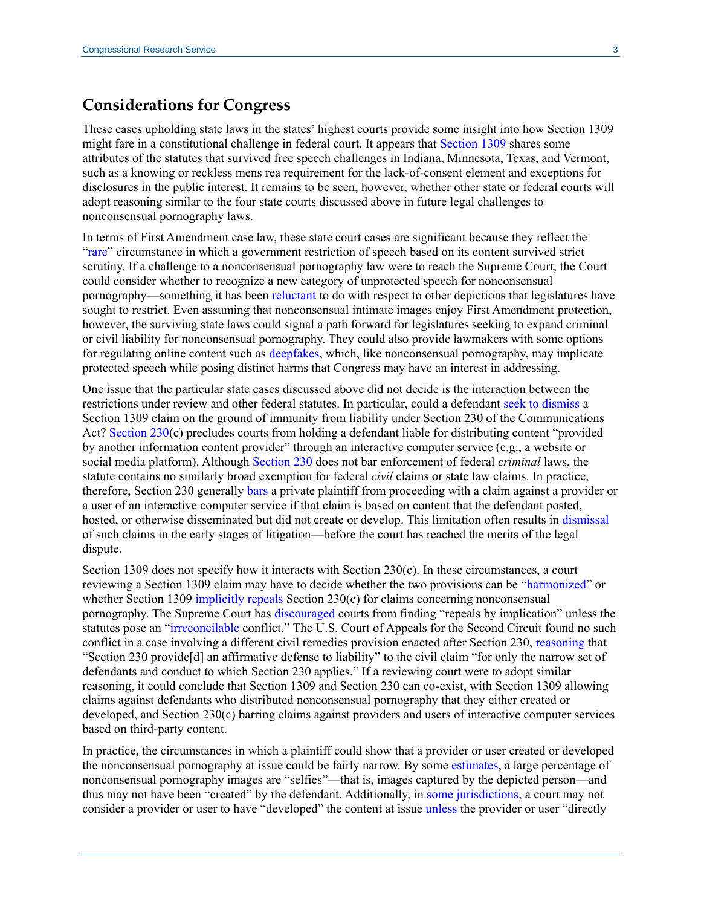## **Considerations for Congress**

These cases upholding state laws in the states' highest courts provide some insight into how Section 1309 might fare in a constitutional challenge in federal court. It appears that [Section 1309](https://www.congress.gov/117/bills/hr2471/BILLS-117hr2471enr.pdf#page=881) shares some attributes of the statutes that survived free speech challenges in Indiana, Minnesota, Texas, and Vermont, such as a knowing or reckless mens rea requirement for the lack-of-consent element and exceptions for disclosures in the public interest. It remains to be seen, however, whether other state or federal courts will adopt reasoning similar to the four state courts discussed above in future legal challenges to nonconsensual pornography laws.

In terms of First Amendment case law, these state court cases are significant because they reflect the ["rare"](https://mn.gov/law-library-stat/archive/supct/2020/OPA190576-123020.pdf#page=22) circumstance in which a government restriction of speech based on its content survived strict scrutiny. If a challenge to a nonconsensual pornography law were to reach the Supreme Court, the Court could consider whether to recognize a new category of unprotected speech for nonconsensual pornography—something it has been [reluctant](https://www.supremecourt.gov/opinions/09pdf/08-769.pdf) to do with respect to other depictions that legislatures have sought to restrict. Even assuming that nonconsensual intimate images enjoy First Amendment protection, however, the surviving state laws could signal a path forward for legislatures seeking to expand criminal or civil liability for nonconsensual pornography. They could also provide lawmakers with some options for regulating online content such as [deepfakes,](https://crsreports.congress.gov/product/pdf/IF/IF11333) which, like nonconsensual pornography, may implicate protected speech while posing distinct harms that Congress may have an interest in addressing.

One issue that the particular state cases discussed above did not decide is the interaction between the restrictions under review and other federal statutes. In particular, could a defendant [seek to dismiss](https://cite.case.law/sw3d/429/752/) a Section 1309 claim on the ground of immunity from liability under Section 230 of the Communications Act? [Section 230\(](https://uscode.house.gov/view.xhtml?req=(title:47%20section:230%20edition:prelim)%20OR%20(granuleid:USC-prelim-title47-section230)&f=treesort&edition=prelim&num=0&jumpTo=true)c) precludes courts from holding a defendant liable for distributing content "provided by another information content provider" through an interactive computer service (e.g., a website or social media platform). Although [Section 230](https://uscode.house.gov/view.xhtml?req=(title:47%20section:230%20edition:prelim)%20OR%20(granuleid:USC-prelim-title47-section230)&f=treesort&edition=prelim&num=0&jumpTo=true) does not bar enforcement of federal *criminal* laws, the statute contains no similarly broad exemption for federal *civil* claims or state law claims. In practice, therefore, Section 230 generally [bars](https://crsreports.congress.gov/product/pdf/R/R46751#_Toc86410687) a private plaintiff from proceeding with a claim against a provider or a user of an interactive computer service if that claim is based on content that the defendant posted, hosted, or otherwise disseminated but did not create or develop. This limitation often results in [dismissal](https://crsreports.congress.gov/product/pdf/R/R46751#_Toc86410686) of such claims in the early stages of litigation—before the court has reached the merits of the legal dispute.

Section 1309 does not specify how it interacts with Section  $230(c)$ . In these circumstances, a court reviewing a Section 1309 claim may have to decide whether the two provisions can be ["harmonized"](https://www.supremecourt.gov/opinions/17pdf/16-285_q8l1.pdf#page=14) or whether Section 1309 [implicitly repeals](https://crsreports.congress.gov/product/pdf/R/R46484#_Toc84320733) Section 230(c) for claims concerning nonconsensual pornography. The Supreme Court has [discouraged](https://tile.loc.gov/storage-services/service/ll/usrep/usrep467/usrep467986/usrep467986.pdf#page=32) courts from finding "repeals by implication" unless the statutes pose an ["irreconcilable](https://www.supremecourt.gov/opinions/17pdf/16-285_q8l1.pdf#page=14) conflict." The U.S. Court of Appeals for the Second Circuit found no such conflict in a case involving a different civil remedies provision enacted after Section 230, [reasoning](https://cite.case.law/f3d/934/53/) that "Section 230 provide[d] an affirmative defense to liability" to the civil claim "for only the narrow set of defendants and conduct to which Section 230 applies." If a reviewing court were to adopt similar reasoning, it could conclude that Section 1309 and Section 230 can co-exist, with Section 1309 allowing claims against defendants who distributed nonconsensual pornography that they either created or developed, and Section 230(c) barring claims against providers and users of interactive computer services based on third-party content.

In practice, the circumstances in which a plaintiff could show that a provider or user created or developed the nonconsensual pornography at issue could be fairly narrow. By some [estimates,](https://www.ncsl.org/research/telecommunications-and-information-technology/fighting-revenge-porn-and-sextortion.aspx) a large percentage of nonconsensual pornography images are "selfies"—that is, images captured by the depicted person—and thus may not have been "created" by the defendant. Additionally, in [some jurisdictions,](https://crsreports.congress.gov/product/pdf/R/R46751#_Toc86410690) a court may not consider a provider or user to have "developed" the content at issue [unless](https://cite.case.law/f3d/934/53/) the provider or user "directly